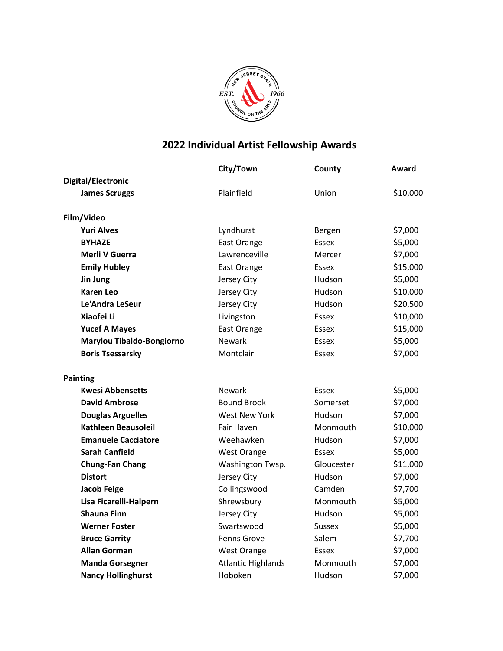

## **2022 Individual Artist Fellowship Awards**

|                            | City/Town                 | County        | Award    |
|----------------------------|---------------------------|---------------|----------|
| <b>Digital/Electronic</b>  |                           |               |          |
| <b>James Scruggs</b>       | Plainfield                | Union         | \$10,000 |
| Film/Video                 |                           |               |          |
| <b>Yuri Alves</b>          | Lyndhurst                 | Bergen        | \$7,000  |
| <b>BYHAZE</b>              | East Orange               | Essex         | \$5,000  |
| Merli V Guerra             | Lawrenceville             | Mercer        | \$7,000  |
| <b>Emily Hubley</b>        | East Orange               | Essex         | \$15,000 |
| Jin Jung                   | Jersey City               | Hudson        | \$5,000  |
| <b>Karen Leo</b>           | Jersey City               | Hudson        | \$10,000 |
| Le'Andra LeSeur            | Jersey City               | Hudson        | \$20,500 |
| Xiaofei Li                 | Livingston                | Essex         | \$10,000 |
| <b>Yucef A Mayes</b>       | East Orange               | <b>Essex</b>  | \$15,000 |
| Marylou Tibaldo-Bongiorno  | <b>Newark</b>             | Essex         | \$5,000  |
| <b>Boris Tsessarsky</b>    | Montclair                 | Essex         | \$7,000  |
| <b>Painting</b>            |                           |               |          |
| <b>Kwesi Abbensetts</b>    | <b>Newark</b>             | Essex         | \$5,000  |
| <b>David Ambrose</b>       | <b>Bound Brook</b>        | Somerset      | \$7,000  |
| <b>Douglas Arguelles</b>   | <b>West New York</b>      | Hudson        | \$7,000  |
| <b>Kathleen Beausoleil</b> | <b>Fair Haven</b>         | Monmouth      | \$10,000 |
| <b>Emanuele Cacciatore</b> | Weehawken                 | Hudson        | \$7,000  |
| <b>Sarah Canfield</b>      | <b>West Orange</b>        | Essex         | \$5,000  |
| <b>Chung-Fan Chang</b>     | Washington Twsp.          | Gloucester    | \$11,000 |
| <b>Distort</b>             | Jersey City               | Hudson        | \$7,000  |
| <b>Jacob Feige</b>         | Collingswood              | Camden        | \$7,700  |
| Lisa Ficarelli-Halpern     | Shrewsbury                | Monmouth      | \$5,000  |
| <b>Shauna Finn</b>         | Jersey City               | Hudson        | \$5,000  |
| <b>Werner Foster</b>       | Swartswood                | <b>Sussex</b> | \$5,000  |
| <b>Bruce Garrity</b>       | Penns Grove               | Salem         | \$7,700  |
| <b>Allan Gorman</b>        | <b>West Orange</b>        | Essex         | \$7,000  |
| <b>Manda Gorsegner</b>     | <b>Atlantic Highlands</b> | Monmouth      | \$7,000  |
| <b>Nancy Hollinghurst</b>  | Hoboken                   | Hudson        | \$7,000  |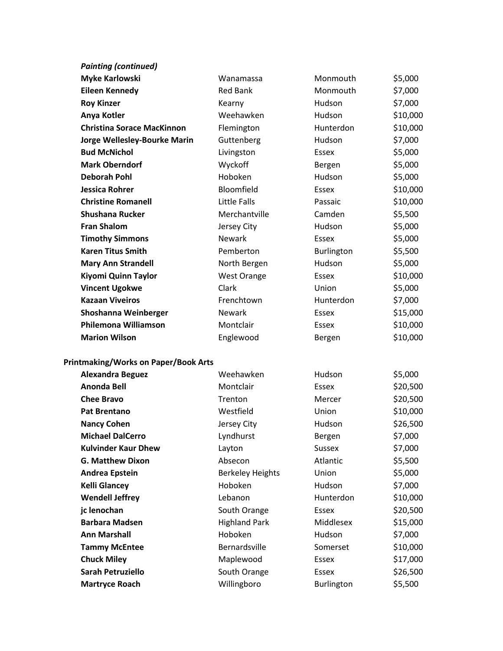| <b>Painting (continued)</b>                 |                         |               |          |
|---------------------------------------------|-------------------------|---------------|----------|
| <b>Myke Karlowski</b>                       | Wanamassa               | Monmouth      | \$5,000  |
| <b>Eileen Kennedy</b>                       | <b>Red Bank</b>         | Monmouth      | \$7,000  |
| <b>Roy Kinzer</b>                           | Kearny                  | <b>Hudson</b> | \$7,000  |
| Anya Kotler                                 | Weehawken               | Hudson        | \$10,000 |
| <b>Christina Sorace MacKinnon</b>           | Flemington              | Hunterdon     | \$10,000 |
| Jorge Wellesley-Bourke Marin                | Guttenberg              | Hudson        | \$7,000  |
| <b>Bud McNichol</b>                         | Livingston              | Essex         | \$5,000  |
| <b>Mark Oberndorf</b>                       | Wyckoff                 | Bergen        | \$5,000  |
| <b>Deborah Pohl</b>                         | Hoboken                 | Hudson        | \$5,000  |
| <b>Jessica Rohrer</b>                       | Bloomfield              | <b>Essex</b>  | \$10,000 |
| <b>Christine Romanell</b>                   | <b>Little Falls</b>     | Passaic       | \$10,000 |
| <b>Shushana Rucker</b>                      | Merchantville           | Camden        | \$5,500  |
| <b>Fran Shalom</b>                          | Jersey City             | Hudson        | \$5,000  |
| <b>Timothy Simmons</b>                      | <b>Newark</b>           | Essex         | \$5,000  |
| <b>Karen Titus Smith</b>                    | Pemberton               | Burlington    | \$5,500  |
| <b>Mary Ann Strandell</b>                   | North Bergen            | Hudson        | \$5,000  |
| Kiyomi Quinn Taylor                         | <b>West Orange</b>      | Essex         | \$10,000 |
| <b>Vincent Ugokwe</b>                       | Clark                   | Union         | \$5,000  |
| <b>Kazaan Viveiros</b>                      | Frenchtown              | Hunterdon     | \$7,000  |
| Shoshanna Weinberger                        | <b>Newark</b>           | Essex         | \$15,000 |
| <b>Philemona Williamson</b>                 | Montclair               | Essex         | \$10,000 |
| <b>Marion Wilson</b>                        | Englewood               | Bergen        | \$10,000 |
| <b>Printmaking/Works on Paper/Book Arts</b> |                         |               |          |
| <b>Alexandra Beguez</b>                     | Weehawken               | Hudson        | \$5,000  |
| <b>Anonda Bell</b>                          | Montclair               | <b>Essex</b>  | \$20,500 |
| <b>Chee Bravo</b>                           | Trenton                 | Mercer        | \$20,500 |
| <b>Pat Brentano</b>                         | Westfield               | Union         | \$10,000 |
| <b>Nancy Cohen</b>                          | Jersey City             | Hudson        | \$26,500 |
| <b>Michael DalCerro</b>                     | Lyndhurst               | Bergen        | \$7,000  |
| <b>Kulvinder Kaur Dhew</b>                  | Layton                  | <b>Sussex</b> | \$7,000  |
| <b>G. Matthew Dixon</b>                     | Absecon                 | Atlantic      | \$5,500  |
| <b>Andrea Epstein</b>                       | <b>Berkeley Heights</b> | Union         | \$5,000  |
| <b>Kelli Glancey</b>                        | Hoboken                 | Hudson        | \$7,000  |
| <b>Wendell Jeffrey</b>                      | Lebanon                 | Hunterdon     | \$10,000 |
| jc lenochan                                 | South Orange            | Essex         | \$20,500 |
| <b>Barbara Madsen</b>                       | <b>Highland Park</b>    | Middlesex     | \$15,000 |
| <b>Ann Marshall</b>                         | Hoboken                 | Hudson        | \$7,000  |
| <b>Tammy McEntee</b>                        | Bernardsville           | Somerset      | \$10,000 |
| <b>Chuck Miley</b>                          | Maplewood               | Essex         | \$17,000 |
| Sarah Petruziello                           | South Orange            | Essex         | \$26,500 |
| <b>Martryce Roach</b>                       | Willingboro             | Burlington    | \$5,500  |
|                                             |                         |               |          |